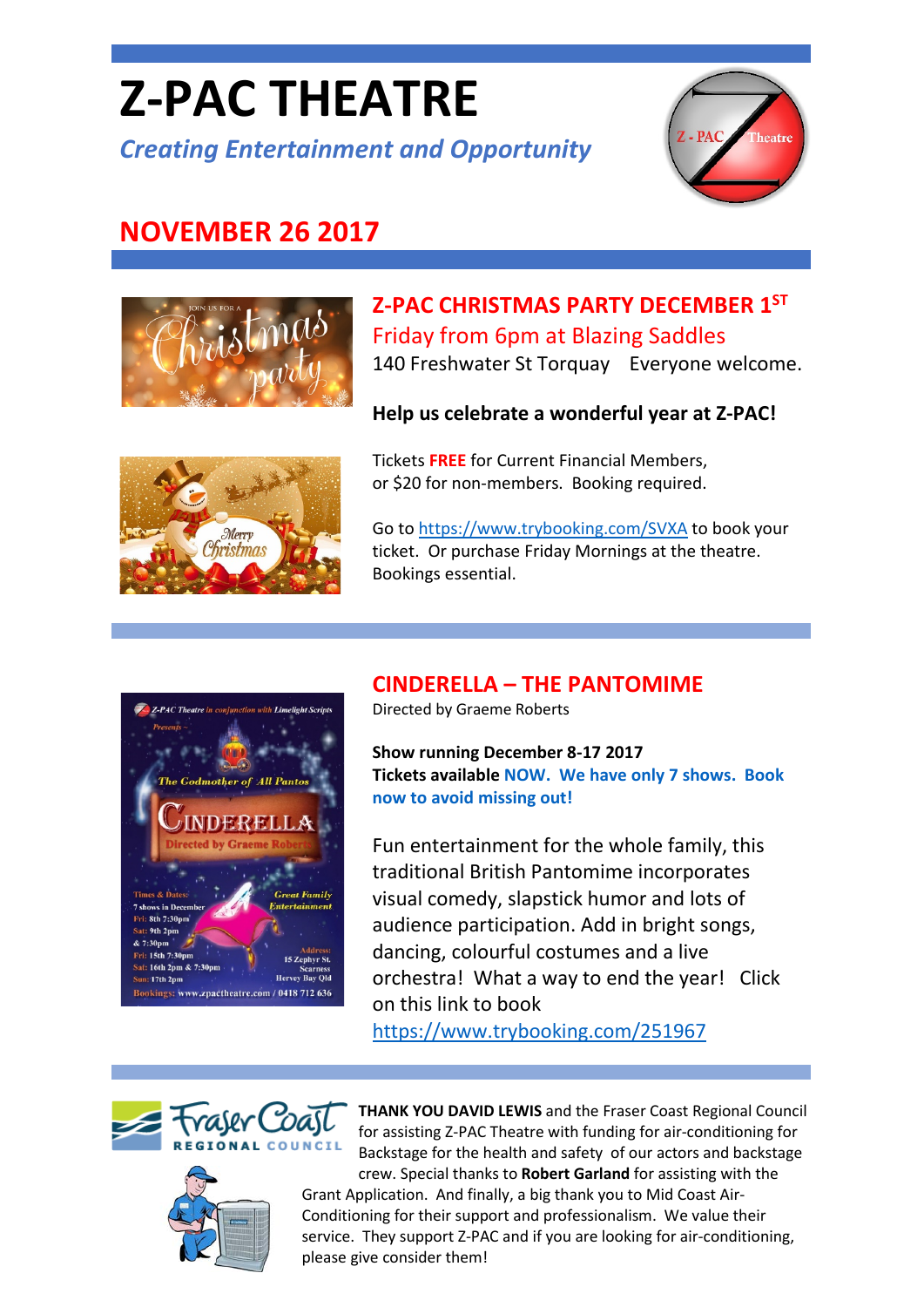# **Z-PAC THEATRE**

*Creating Entertainment and Opportunity*



## **NOVEMBER 26 2017**



## **Z-PAC CHRISTMAS PARTY DECEMBER 1ST** Friday from 6pm at Blazing Saddles

140 Freshwater St Torquay Everyone welcome.

#### **Help us celebrate a wonderful year at Z-PAC!**



Tickets **FREE** for Current Financial Members, or \$20 for non-members. Booking required.

Go t[o https://www.trybooking.com/SVXA](https://www.trybooking.com/SVXA) to book your ticket. Or purchase Friday Mornings at the theatre. Bookings essential.

#### **CINDERELLA – THE PANTOMIME**



**Show running December 8-17 2017 Tickets available [NOW.](https://www.trybooking.com/251967) We have only 7 shows. Book now to avoid missing out!**

Fun entertainment for the whole family, this traditional British Pantomime incorporates visual comedy, slapstick humor and lots of audience participation. Add in bright songs, dancing, colourful costumes and a live orchestra! What a way to end the year! Click on this link to book

<https://www.trybooking.com/251967>



s: www.zpactheatre.com

**Hervey Bay Old** 

/ 0418 712 636



**THANK YOU DAVID LEWIS** and the Fraser Coast Regional Council for assisting Z-PAC Theatre with funding for air-conditioning for Backstage for the health and safety of our actors and backstage crew. Special thanks to **Robert Garland** for assisting with the

Grant Application. And finally, a big thank you to Mid Coast Air-Conditioning for their support and professionalism. We value their service. They support Z-PAC and if you are looking for air-conditioning, please give consider them!